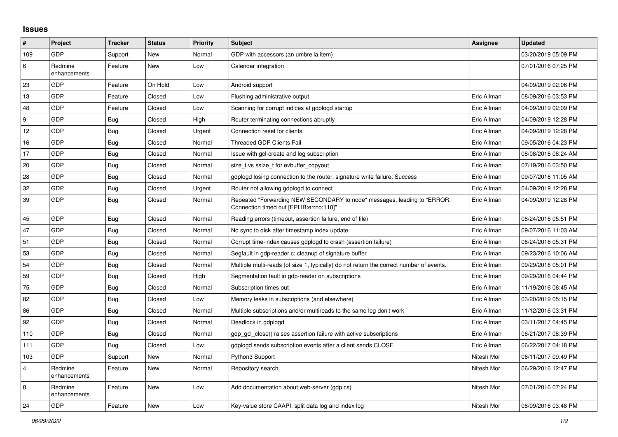## **Issues**

| $\vert$ #        | Project                 | <b>Tracker</b> | <b>Status</b> | <b>Priority</b> | <b>Subject</b>                                                                                                      | <b>Assignee</b> | <b>Updated</b>      |
|------------------|-------------------------|----------------|---------------|-----------------|---------------------------------------------------------------------------------------------------------------------|-----------------|---------------------|
| 109              | GDP                     | Support        | New           | Normal          | GDP with accessors (an umbrella item)                                                                               |                 | 03/20/2019 05:09 PM |
| 6                | Redmine<br>enhancements | Feature        | <b>New</b>    | Low             | Calendar integration                                                                                                |                 | 07/01/2016 07:25 PM |
| 23               | GDP                     | Feature        | On Hold       | Low             | Android support                                                                                                     |                 | 04/09/2019 02:06 PM |
| 13               | GDP                     | Feature        | Closed        | Low             | Flushing administrative output                                                                                      | Eric Allman     | 08/09/2016 03:53 PM |
| 48               | GDP                     | Feature        | Closed        | Low             | Scanning for corrupt indices at gdplogd startup                                                                     | Eric Allman     | 04/09/2019 02:09 PM |
| $\boldsymbol{9}$ | <b>GDP</b>              | Bug            | Closed        | High            | Router terminating connections abruptly                                                                             | Eric Allman     | 04/09/2019 12:28 PM |
| 12               | <b>GDP</b>              | <b>Bug</b>     | Closed        | Urgent          | Connection reset for clients                                                                                        | Eric Allman     | 04/09/2019 12:28 PM |
| 16               | GDP                     | <b>Bug</b>     | Closed        | Normal          | Threaded GDP Clients Fail                                                                                           | Eric Allman     | 09/05/2016 04:23 PM |
| 17               | <b>GDP</b>              | <b>Bug</b>     | Closed        | Normal          | Issue with gcl-create and log subscription                                                                          | Eric Allman     | 08/08/2016 08:24 AM |
| 20               | GDP                     | <b>Bug</b>     | Closed        | Normal          | size t vs ssize t for evbuffer copyout                                                                              | Eric Allman     | 07/19/2016 03:50 PM |
| 28               | GDP                     | Bug            | Closed        | Normal          | gdplogd losing connection to the router, signature write failure: Success                                           | Eric Allman     | 09/07/2016 11:05 AM |
| 32               | <b>GDP</b>              | Bug            | Closed        | Urgent          | Router not allowing gdplogd to connect                                                                              | Eric Allman     | 04/09/2019 12:28 PM |
| 39               | GDP                     | Bug            | Closed        | Normal          | Repeated "Forwarding NEW SECONDARY to node" messages, leading to "ERROR:<br>Connection timed out [EPLIB:errno:110]" | Eric Allman     | 04/09/2019 12:28 PM |
| 45               | <b>GDP</b>              | <b>Bug</b>     | Closed        | Normal          | Reading errors (timeout, assertion failure, end of file)                                                            | Eric Allman     | 08/24/2016 05:51 PM |
| 47               | GDP                     | <b>Bug</b>     | Closed        | Normal          | No sync to disk after timestamp index update                                                                        | Eric Allman     | 09/07/2016 11:03 AM |
| 51               | GDP                     | <b>Bug</b>     | Closed        | Normal          | Corrupt time-index causes gdplogd to crash (assertion failure)                                                      | Eric Allman     | 08/24/2016 05:31 PM |
| 53               | GDP                     | <b>Bug</b>     | Closed        | Normal          | Segfault in gdp-reader.c; cleanup of signature buffer                                                               | Eric Allman     | 09/23/2016 10:06 AM |
| 54               | <b>GDP</b>              | <b>Bug</b>     | Closed        | Normal          | Multiple multi-reads (of size 1, typically) do not return the correct number of events.                             | Eric Allman     | 09/29/2016 05:01 PM |
| 59               | <b>GDP</b>              | <b>Bug</b>     | Closed        | High            | Segmentation fault in gdp-reader on subscriptions                                                                   | Eric Allman     | 09/29/2016 04:44 PM |
| 75               | GDP                     | <b>Bug</b>     | Closed        | Normal          | Subscription times out                                                                                              | Eric Allman     | 11/19/2016 06:45 AM |
| 82               | <b>GDP</b>              | <b>Bug</b>     | Closed        | Low             | Memory leaks in subscriptions (and elsewhere)                                                                       | Eric Allman     | 03/20/2019 05:15 PM |
| 86               | GDP                     | <b>Bug</b>     | Closed        | Normal          | Multiple subscriptions and/or multireads to the same log don't work                                                 | Eric Allman     | 11/12/2016 03:31 PM |
| 92               | GDP                     | <b>Bug</b>     | Closed        | Normal          | Deadlock in gdplogd                                                                                                 | Eric Allman     | 03/11/2017 04:45 PM |
| 110              | <b>GDP</b>              | <b>Bug</b>     | Closed        | Normal          | gdp gcl close() raises assertion failure with active subscriptions                                                  | Eric Allman     | 06/21/2017 08:39 PM |
| 111              | GDP                     | Bug            | Closed        | Low             | gdplogd sends subscription events after a client sends CLOSE                                                        | Eric Allman     | 06/22/2017 04:18 PM |
| 103              | GDP                     | Support        | <b>New</b>    | Normal          | Python3 Support                                                                                                     | Nitesh Mor      | 06/11/2017 09:49 PM |
| $\overline{4}$   | Redmine<br>enhancements | Feature        | New           | Normal          | Repository search                                                                                                   | Nitesh Mor      | 06/29/2016 12:47 PM |
| $\bf 8$          | Redmine<br>enhancements | Feature        | New           | Low             | Add documentation about web-server (gdp.cs)                                                                         | Nitesh Mor      | 07/01/2016 07:24 PM |
| 24               | GDP                     | Feature        | New           | Low             | Key-value store CAAPI: split data log and index log                                                                 | Nitesh Mor      | 08/09/2016 03:48 PM |